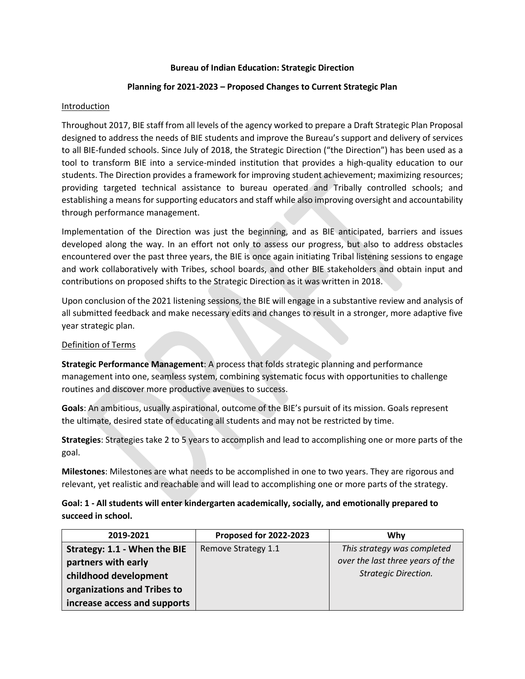### **Bureau of Indian Education: Strategic Direction**

## **Planning for 2021-2023 – Proposed Changes to Current Strategic Plan**

## **Introduction**

Throughout 2017, BIE staff from all levels of the agency worked to prepare a Draft Strategic Plan Proposal designed to address the needs of BIE students and improve the Bureau's support and delivery of services to all BIE-funded schools. Since July of 2018, the Strategic Direction ("the Direction") has been used as a tool to transform BIE into a service-minded institution that provides a high-quality education to our students. The Direction provides a framework for improving student achievement; maximizing resources; providing targeted technical assistance to bureau operated and Tribally controlled schools; and establishing a means for supporting educators and staff while also improving oversight and accountability through performance management.

Implementation of the Direction was just the beginning, and as BIE anticipated, barriers and issues developed along the way. In an effort not only to assess our progress, but also to address obstacles encountered over the past three years, the BIE is once again initiating Tribal listening sessions to engage and work collaboratively with Tribes, school boards, and other BIE stakeholders and obtain input and contributions on proposed shifts to the Strategic Direction as it was written in 2018.

Upon conclusion of the 2021 listening sessions, the BIE will engage in a substantive review and analysis of all submitted feedback and make necessary edits and changes to result in a stronger, more adaptive five year strategic plan.

## Definition of Terms

**Strategic Performance Management**: A process that folds strategic planning and performance management into one, seamless system, combining systematic focus with opportunities to challenge routines and discover more productive avenues to success.

**Goals**: An ambitious, usually aspirational, outcome of the BIE's pursuit of its mission. Goals represent the ultimate, desired state of educating all students and may not be restricted by time.

**Strategies**: Strategies take 2 to 5 years to accomplish and lead to accomplishing one or more parts of the goal.

**Milestones**: Milestones are what needs to be accomplished in one to two years. They are rigorous and relevant, yet realistic and reachable and will lead to accomplishing one or more parts of the strategy.

# **Goal: 1 - All students will enter kindergarten academically, socially, and emotionally prepared to succeed in school.**

| 2019-2021                    | <b>Proposed for 2022-2023</b> | Whv                              |
|------------------------------|-------------------------------|----------------------------------|
| Strategy: 1.1 - When the BIE | Remove Strategy 1.1           | This strategy was completed      |
| partners with early          |                               | over the last three years of the |
| childhood development        |                               | <b>Strategic Direction.</b>      |
| organizations and Tribes to  |                               |                                  |
| increase access and supports |                               |                                  |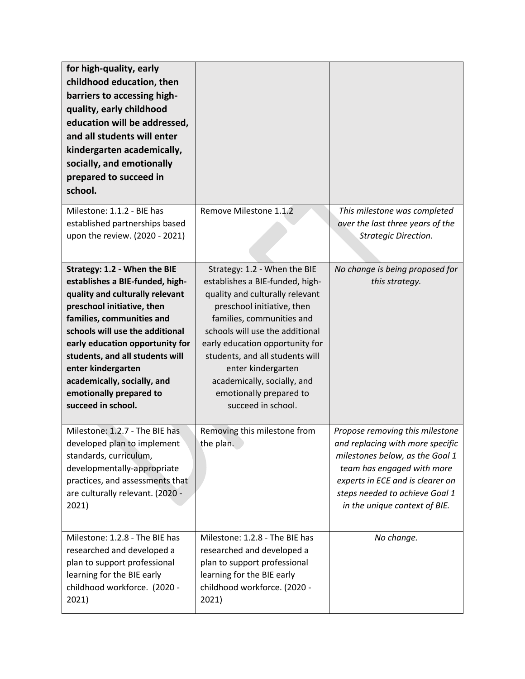| for high-quality, early<br>childhood education, then<br>barriers to accessing high-<br>quality, early childhood<br>education will be addressed,<br>and all students will enter<br>kindergarten academically,<br>socially, and emotionally<br>prepared to succeed in<br>school.<br>Milestone: 1.1.2 - BIE has                                                                 | Remove Milestone 1.1.2                                                                                                                                                                                                                                                                                                                                                       | This milestone was completed                                                                                                                                                                                                                |
|------------------------------------------------------------------------------------------------------------------------------------------------------------------------------------------------------------------------------------------------------------------------------------------------------------------------------------------------------------------------------|------------------------------------------------------------------------------------------------------------------------------------------------------------------------------------------------------------------------------------------------------------------------------------------------------------------------------------------------------------------------------|---------------------------------------------------------------------------------------------------------------------------------------------------------------------------------------------------------------------------------------------|
| established partnerships based<br>upon the review. (2020 - 2021)                                                                                                                                                                                                                                                                                                             |                                                                                                                                                                                                                                                                                                                                                                              | over the last three years of the<br><b>Strategic Direction.</b>                                                                                                                                                                             |
| Strategy: 1.2 - When the BIE<br>establishes a BIE-funded, high-<br>quality and culturally relevant<br>preschool initiative, then<br>families, communities and<br>schools will use the additional<br>early education opportunity for<br>students, and all students will<br>enter kindergarten<br>academically, socially, and<br>emotionally prepared to<br>succeed in school. | Strategy: 1.2 - When the BIE<br>establishes a BIE-funded, high-<br>quality and culturally relevant<br>preschool initiative, then<br>families, communities and<br>schools will use the additional<br>early education opportunity for<br>students, and all students will<br>enter kindergarten<br>academically, socially, and<br>emotionally prepared to<br>succeed in school. | No change is being proposed for<br>this strategy.                                                                                                                                                                                           |
| Milestone: 1.2.7 - The BIE has<br>developed plan to implement<br>standards, curriculum,<br>developmentally-appropriate<br>practices, and assessments that<br>are culturally relevant. (2020 -<br>2021)                                                                                                                                                                       | Removing this milestone from<br>the plan.                                                                                                                                                                                                                                                                                                                                    | Propose removing this milestone<br>and replacing with more specific<br>milestones below, as the Goal 1<br>team has engaged with more<br>experts in ECE and is clearer on<br>steps needed to achieve Goal 1<br>in the unique context of BIE. |
| Milestone: 1.2.8 - The BIE has<br>researched and developed a<br>plan to support professional<br>learning for the BIE early<br>childhood workforce. (2020 -<br>2021)                                                                                                                                                                                                          | Milestone: 1.2.8 - The BIE has<br>researched and developed a<br>plan to support professional<br>learning for the BIE early<br>childhood workforce. (2020 -<br>2021)                                                                                                                                                                                                          | No change.                                                                                                                                                                                                                                  |